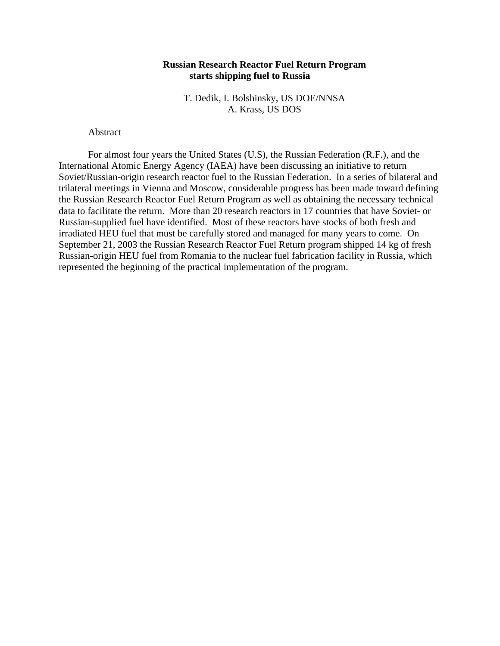# **Russian Research Reactor Fuel Return Program starts shipping fuel to Russia**

T. Dedik, I. Bolshinsky, US DOE/NNSA A. Krass, US DOS

## Abstract

For almost four years the United States (U.S), the Russian Federation (R.F.), and the International Atomic Energy Agency (IAEA) have been discussing an initiative to return Soviet/Russian-origin research reactor fuel to the Russian Federation. In a series of bilateral and trilateral meetings in Vienna and Moscow, considerable progress has been made toward defining the Russian Research Reactor Fuel Return Program as well as obtaining the necessary technical data to facilitate the return. More than 20 research reactors in 17 countries that have Soviet- or Russian-supplied fuel have identified. Most of these reactors have stocks of both fresh and irradiated HEU fuel that must be carefully stored and managed for many years to come. On September 21, 2003 the Russian Research Reactor Fuel Return program shipped 14 kg of fresh Russian-origin HEU fuel from Romania to the nuclear fuel fabrication facility in Russia, which represented the beginning of the practical implementation of the program.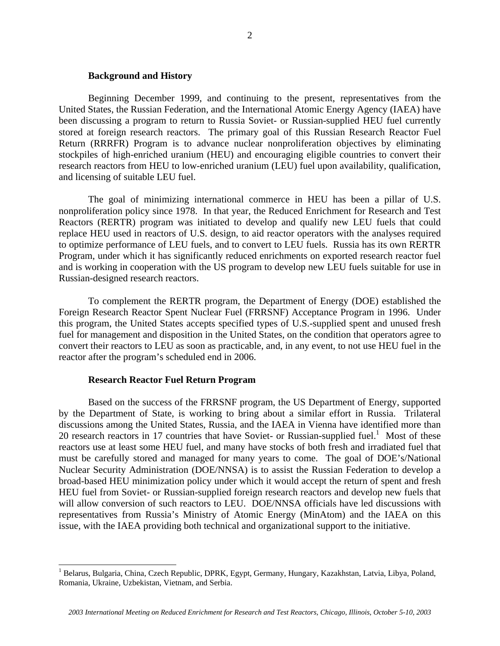## **Background and History**

Beginning December 1999, and continuing to the present, representatives from the United States, the Russian Federation, and the International Atomic Energy Agency (IAEA) have been discussing a program to return to Russia Soviet- or Russian-supplied HEU fuel currently stored at foreign research reactors. The primary goal of this Russian Research Reactor Fuel Return (RRRFR) Program is to advance nuclear nonproliferation objectives by eliminating stockpiles of high-enriched uranium (HEU) and encouraging eligible countries to convert their research reactors from HEU to low-enriched uranium (LEU) fuel upon availability, qualification, and licensing of suitable LEU fuel.

The goal of minimizing international commerce in HEU has been a pillar of U.S. nonproliferation policy since 1978. In that year, the Reduced Enrichment for Research and Test Reactors (RERTR) program was initiated to develop and qualify new LEU fuels that could replace HEU used in reactors of U.S. design, to aid reactor operators with the analyses required to optimize performance of LEU fuels, and to convert to LEU fuels. Russia has its own RERTR Program, under which it has significantly reduced enrichments on exported research reactor fuel and is working in cooperation with the US program to develop new LEU fuels suitable for use in Russian-designed research reactors.

To complement the RERTR program, the Department of Energy (DOE) established the Foreign Research Reactor Spent Nuclear Fuel (FRRSNF) Acceptance Program in 1996. Under this program, the United States accepts specified types of U.S.-supplied spent and unused fresh fuel for management and disposition in the United States, on the condition that operators agree to convert their reactors to LEU as soon as practicable, and, in any event, to not use HEU fuel in the reactor after the program's scheduled end in 2006.

## **Research Reactor Fuel Return Program**

Based on the success of the FRRSNF program, the US Department of Energy, supported by the Department of State, is working to bring about a similar effort in Russia. Trilateral discussions among the United States, Russia, and the IAEA in Vienna have identified more than 20 research reactors in 17 countries that have Soviet- or Russian-supplied fuel.<sup>1</sup> Most of these reactors use at least some HEU fuel, and many have stocks of both fresh and irradiated fuel that must be carefully stored and managed for many years to come. The goal of DOE's/National Nuclear Security Administration (DOE/NNSA) is to assist the Russian Federation to develop a broad-based HEU minimization policy under which it would accept the return of spent and fresh HEU fuel from Soviet- or Russian-supplied foreign research reactors and develop new fuels that will allow conversion of such reactors to LEU. DOE/NNSA officials have led discussions with representatives from Russia's Ministry of Atomic Energy (MinAtom) and the IAEA on this issue, with the IAEA providing both technical and organizational support to the initiative.

<span id="page-1-0"></span> $\frac{1}{1}$ <sup>1</sup> Belarus, Bulgaria, China, Czech Republic, DPRK, Egypt, Germany, Hungary, Kazakhstan, Latvia, Libya, Poland, Romania, Ukraine, Uzbekistan, Vietnam, and Serbia.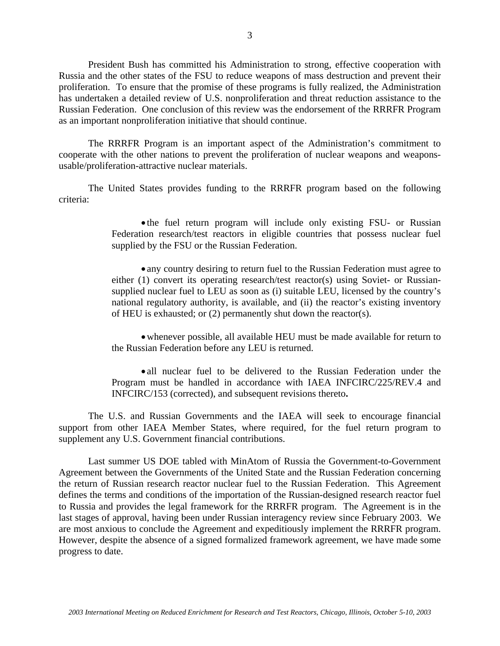President Bush has committed his Administration to strong, effective cooperation with Russia and the other states of the FSU to reduce weapons of mass destruction and prevent their proliferation. To ensure that the promise of these programs is fully realized, the Administration has undertaken a detailed review of U.S. nonproliferation and threat reduction assistance to the Russian Federation. One conclusion of this review was the endorsement of the RRRFR Program as an important nonproliferation initiative that should continue.

The RRRFR Program is an important aspect of the Administration's commitment to cooperate with the other nations to prevent the proliferation of nuclear weapons and weaponsusable/proliferation-attractive nuclear materials.

The United States provides funding to the RRRFR program based on the following criteria:

> • the fuel return program will include only existing FSU- or Russian Federation research/test reactors in eligible countries that possess nuclear fuel supplied by the FSU or the Russian Federation.

> • any country desiring to return fuel to the Russian Federation must agree to either (1) convert its operating research/test reactor(s) using Soviet- or Russiansupplied nuclear fuel to LEU as soon as (i) suitable LEU, licensed by the country's national regulatory authority, is available, and (ii) the reactor's existing inventory of HEU is exhausted; or (2) permanently shut down the reactor(s).

> • whenever possible, all available HEU must be made available for return to the Russian Federation before any LEU is returned.

> • all nuclear fuel to be delivered to the Russian Federation under the Program must be handled in accordance with IAEA INFCIRC/225/REV.4 and INFCIRC/153 (corrected), and subsequent revisions thereto**.**

The U.S. and Russian Governments and the IAEA will seek to encourage financial support from other IAEA Member States, where required, for the fuel return program to supplement any U.S. Government financial contributions.

Last summer US DOE tabled with MinAtom of Russia the Government-to-Government Agreement between the Governments of the United State and the Russian Federation concerning the return of Russian research reactor nuclear fuel to the Russian Federation. This Agreement defines the terms and conditions of the importation of the Russian-designed research reactor fuel to Russia and provides the legal framework for the RRRFR program. The Agreement is in the last stages of approval, having been under Russian interagency review since February 2003. We are most anxious to conclude the Agreement and expeditiously implement the RRRFR program. However, despite the absence of a signed formalized framework agreement, we have made some progress to date.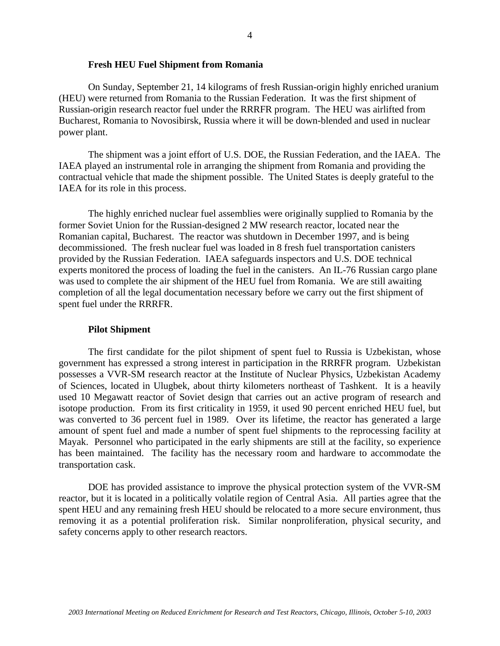#### **Fresh HEU Fuel Shipment from Romania**

On Sunday, September 21, 14 kilograms of fresh Russian-origin highly enriched uranium (HEU) were returned from Romania to the Russian Federation. It was the first shipment of Russian-origin research reactor fuel under the RRRFR program. The HEU was airlifted from Bucharest, Romania to Novosibirsk, Russia where it will be down-blended and used in nuclear power plant.

The shipment was a joint effort of U.S. DOE, the Russian Federation, and the IAEA. The IAEA played an instrumental role in arranging the shipment from Romania and providing the contractual vehicle that made the shipment possible. The United States is deeply grateful to the IAEA for its role in this process.

The highly enriched nuclear fuel assemblies were originally supplied to Romania by the former Soviet Union for the Russian-designed 2 MW research reactor, located near the Romanian capital, Bucharest. The reactor was shutdown in December 1997, and is being decommissioned. The fresh nuclear fuel was loaded in 8 fresh fuel transportation canisters provided by the Russian Federation. IAEA safeguards inspectors and U.S. DOE technical experts monitored the process of loading the fuel in the canisters. An IL-76 Russian cargo plane was used to complete the air shipment of the HEU fuel from Romania. We are still awaiting completion of all the legal documentation necessary before we carry out the first shipment of spent fuel under the RRRFR.

#### **Pilot Shipment**

The first candidate for the pilot shipment of spent fuel to Russia is Uzbekistan, whose government has expressed a strong interest in participation in the RRRFR program. Uzbekistan possesses a VVR-SM research reactor at the Institute of Nuclear Physics, Uzbekistan Academy of Sciences, located in Ulugbek, about thirty kilometers northeast of Tashkent. It is a heavily used 10 Megawatt reactor of Soviet design that carries out an active program of research and isotope production. From its first criticality in 1959, it used 90 percent enriched HEU fuel, but was converted to 36 percent fuel in 1989. Over its lifetime, the reactor has generated a large amount of spent fuel and made a number of spent fuel shipments to the reprocessing facility at Mayak. Personnel who participated in the early shipments are still at the facility, so experience has been maintained. The facility has the necessary room and hardware to accommodate the transportation cask.

DOE has provided assistance to improve the physical protection system of the VVR-SM reactor, but it is located in a politically volatile region of Central Asia. All parties agree that the spent HEU and any remaining fresh HEU should be relocated to a more secure environment, thus removing it as a potential proliferation risk. Similar nonproliferation, physical security, and safety concerns apply to other research reactors.